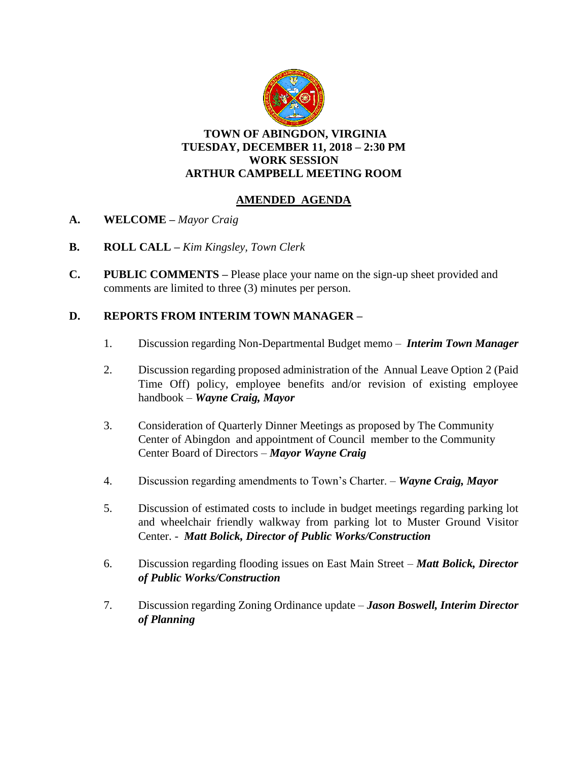

#### **TOWN OF ABINGDON, VIRGINIA TUESDAY, DECEMBER 11, 2018 – 2:30 PM WORK SESSION ARTHUR CAMPBELL MEETING ROOM**

### **AMENDED AGENDA**

- **A. WELCOME –** *Mayor Craig*
- **B. ROLL CALL –** *Kim Kingsley, Town Clerk*
- **C. PUBLIC COMMENTS –** Please place your name on the sign-up sheet provided and comments are limited to three (3) minutes per person.

### **D. REPORTS FROM INTERIM TOWN MANAGER –**

- 1. Discussion regarding Non-Departmental Budget memo *Interim Town Manager*
- 2. Discussion regarding proposed administration of the Annual Leave Option 2 (Paid Time Off) policy, employee benefits and/or revision of existing employee handbook – *Wayne Craig, Mayor*
- 3. Consideration of Quarterly Dinner Meetings as proposed by The Community Center of Abingdon and appointment of Council member to the Community Center Board of Directors – *Mayor Wayne Craig*
- 4. Discussion regarding amendments to Town's Charter. *Wayne Craig, Mayor*
- 5. Discussion of estimated costs to include in budget meetings regarding parking lot and wheelchair friendly walkway from parking lot to Muster Ground Visitor Center. - *Matt Bolick, Director of Public Works/Construction*
- 6. Discussion regarding flooding issues on East Main Street *Matt Bolick, Director of Public Works/Construction*
- 7. Discussion regarding Zoning Ordinance update *Jason Boswell, Interim Director of Planning*